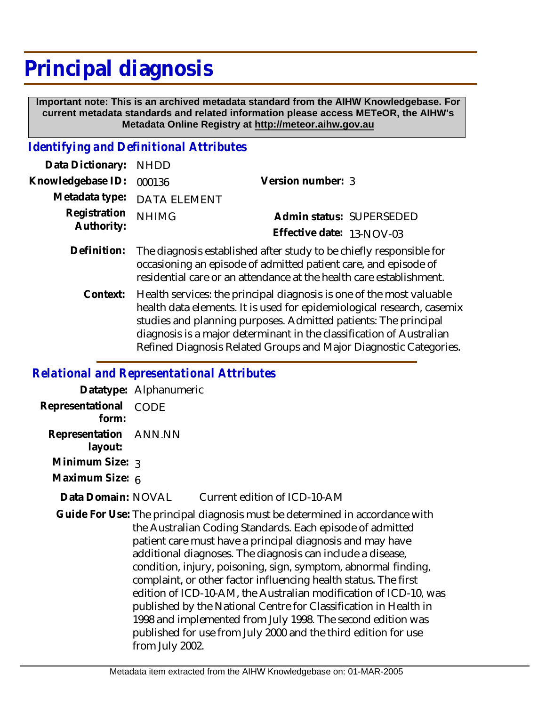# **Principal diagnosis**

 **Important note: This is an archived metadata standard from the AIHW Knowledgebase. For current metadata standards and related information please access METeOR, the AIHW's Metadata Online Registry at http://meteor.aihw.gov.au**

## *Identifying and Definitional Attributes*

| Data Dictionary: NHDD    |                                                                                                                                               |                           |  |
|--------------------------|-----------------------------------------------------------------------------------------------------------------------------------------------|---------------------------|--|
| Knowledgebase ID: 000136 |                                                                                                                                               | Version number: 3         |  |
|                          | Metadata type: DATA ELEMENT                                                                                                                   |                           |  |
| Registration NHIMG       |                                                                                                                                               | Admin status: SUPERSEDED  |  |
| Authority:               |                                                                                                                                               | Effective date: 13-NOV-03 |  |
|                          | $\blacksquare$ . At a trial $\blacksquare$ . The anti-second contribution of a Archives in the formula to $\blacksquare$ . The anti-second th |                           |  |

- Definition: The diagnosis established after study to be chiefly responsible for occasioning an episode of admitted patient care, and episode of residential care or an attendance at the health care establishment.
	- Health services: the principal diagnosis is one of the most valuable health data elements. It is used for epidemiological research, casemix studies and planning purposes. Admitted patients: The principal diagnosis is a major determinant in the classification of Australian Refined Diagnosis Related Groups and Major Diagnostic Categories. **Context:**

#### *Relational and Representational Attributes*

|                                  | Datatype: Alphanumeric                                                                                                                                                                                                                                                                                                                                                                                                                                                                                                                                                                                                                                                                                |
|----------------------------------|-------------------------------------------------------------------------------------------------------------------------------------------------------------------------------------------------------------------------------------------------------------------------------------------------------------------------------------------------------------------------------------------------------------------------------------------------------------------------------------------------------------------------------------------------------------------------------------------------------------------------------------------------------------------------------------------------------|
| Representational<br>form:        | CODE                                                                                                                                                                                                                                                                                                                                                                                                                                                                                                                                                                                                                                                                                                  |
| Representation ANN.NN<br>layout: |                                                                                                                                                                                                                                                                                                                                                                                                                                                                                                                                                                                                                                                                                                       |
| Minimum Size: 3                  |                                                                                                                                                                                                                                                                                                                                                                                                                                                                                                                                                                                                                                                                                                       |
| Maximum Size: 6                  |                                                                                                                                                                                                                                                                                                                                                                                                                                                                                                                                                                                                                                                                                                       |
| Data Domain: NOVAL               | Current edition of ICD-10-AM                                                                                                                                                                                                                                                                                                                                                                                                                                                                                                                                                                                                                                                                          |
|                                  | Guide For Use: The principal diagnosis must be determined in accordance with<br>the Australian Coding Standards. Each episode of admitted<br>patient care must have a principal diagnosis and may have<br>additional diagnoses. The diagnosis can include a disease,<br>condition, injury, poisoning, sign, symptom, abnormal finding,<br>complaint, or other factor influencing health status. The first<br>edition of ICD-10-AM, the Australian modification of ICD-10, was<br>published by the National Centre for Classification in Health in<br>1998 and implemented from July 1998. The second edition was<br>published for use from July 2000 and the third edition for use<br>from July 2002. |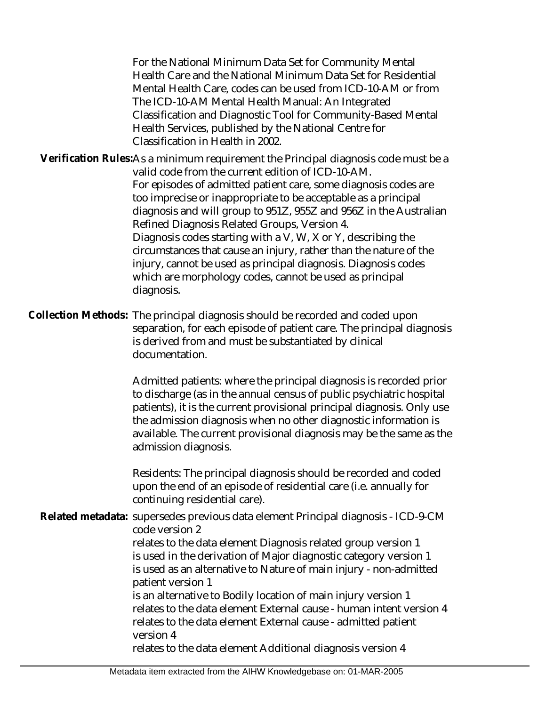For the National Minimum Data Set for Community Mental Health Care and the National Minimum Data Set for Residential Mental Health Care, codes can be used from ICD-10-AM or from The ICD-10-AM Mental Health Manual: An Integrated Classification and Diagnostic Tool for Community-Based Mental Health Services, published by the National Centre for Classification in Health in 2002.

Verification Rules:As a minimum requirement the Principal diagnosis code must be a valid code from the current edition of ICD-10-AM. For episodes of admitted patient care, some diagnosis codes are too imprecise or inappropriate to be acceptable as a principal diagnosis and will group to 951Z, 955Z and 956Z in the Australian Refined Diagnosis Related Groups, Version 4. Diagnosis codes starting with a V, W, X or Y, describing the circumstances that cause an injury, rather than the nature of the injury, cannot be used as principal diagnosis. Diagnosis codes which are morphology codes, cannot be used as principal diagnosis.

Collection Methods: The principal diagnosis should be recorded and coded upon separation, for each episode of patient care. The principal diagnosis is derived from and must be substantiated by clinical documentation.

> Admitted patients: where the principal diagnosis is recorded prior to discharge (as in the annual census of public psychiatric hospital patients), it is the current provisional principal diagnosis. Only use the admission diagnosis when no other diagnostic information is available. The current provisional diagnosis may be the same as the admission diagnosis.

Residents: The principal diagnosis should be recorded and coded upon the end of an episode of residential care (i.e. annually for continuing residential care).

Related metadata: supersedes previous data element Principal diagnosis - ICD-9-CM code version 2 relates to the data element Diagnosis related group version 1 is used in the derivation of Major diagnostic category version 1 is used as an alternative to Nature of main injury - non-admitted patient version 1 is an alternative to Bodily location of main injury version 1 relates to the data element External cause - human intent version 4 relates to the data element External cause - admitted patient version 4

relates to the data element Additional diagnosis version 4